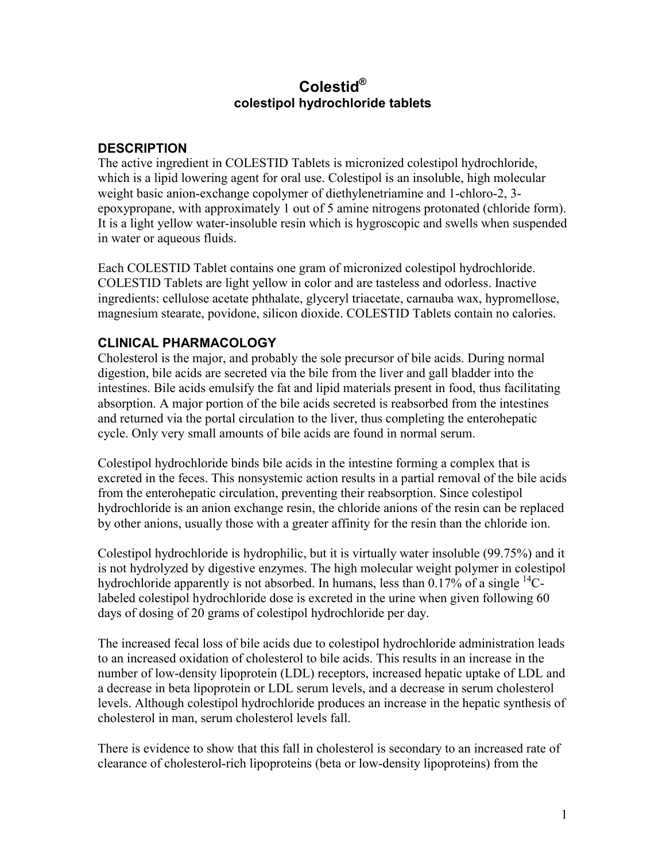# **Colestid® colestipol hydrochloride tablets**

#### **DESCRIPTION**

The active ingredient in COLESTID Tablets is micronized colestipol hydrochloride, which is a lipid lowering agent for oral use. Colestipol is an insoluble, high molecular weight basic anion-exchange copolymer of diethylenetriamine and 1-chloro-2, 3 epoxypropane, with approximately 1 out of 5 amine nitrogens protonated (chloride form). It is a light yellow water-insoluble resin which is hygroscopic and swells when suspended in water or aqueous fluids.

Each COLESTID Tablet contains one gram of micronized colestipol hydrochloride. COLESTID Tablets are light yellow in color and are tasteless and odorless. Inactive ingredients: cellulose acetate phthalate, glyceryl triacetate, carnauba wax, hypromellose, magnesium stearate, povidone, silicon dioxide. COLESTID Tablets contain no calories.

#### **CLINICAL PHARMACOLOGY**

Cholesterol is the major, and probably the sole precursor of bile acids. During normal digestion, bile acids are secreted via the bile from the liver and gall bladder into the intestines. Bile acids emulsify the fat and lipid materials present in food, thus facilitating absorption. A major portion of the bile acids secreted is reabsorbed from the intestines and returned via the portal circulation to the liver, thus completing the enterohepatic cycle. Only very small amounts of bile acids are found in normal serum.

Colestipol hydrochloride binds bile acids in the intestine forming a complex that is excreted in the feces. This nonsystemic action results in a partial removal of the bile acids from the enterohepatic circulation, preventing their reabsorption. Since colestipol hydrochloride is an anion exchange resin, the chloride anions of the resin can be replaced by other anions, usually those with a greater affinity for the resin than the chloride ion.

Colestipol hydrochloride is hydrophilic, but it is virtually water insoluble (99.75%) and it is not hydrolyzed by digestive enzymes. The high molecular weight polymer in colestipol hydrochloride apparently is not absorbed. In humans, less than  $0.17\%$  of a single  $^{14}C$ labeled colestipol hydrochloride dose is excreted in the urine when given following 60 days of dosing of 20 grams of colestipol hydrochloride per day.

The increased fecal loss of bile acids due to colestipol hydrochloride administration leads to an increased oxidation of cholesterol to bile acids. This results in an increase in the number of low-density lipoprotein (LDL) receptors, increased hepatic uptake of LDL and a decrease in beta lipoprotein or LDL serum levels, and a decrease in serum cholesterol levels. Although colestipol hydrochloride produces an increase in the hepatic synthesis of cholesterol in man, serum cholesterol levels fall.

There is evidence to show that this fall in cholesterol is secondary to an increased rate of clearance of cholesterol-rich lipoproteins (beta or low-density lipoproteins) from the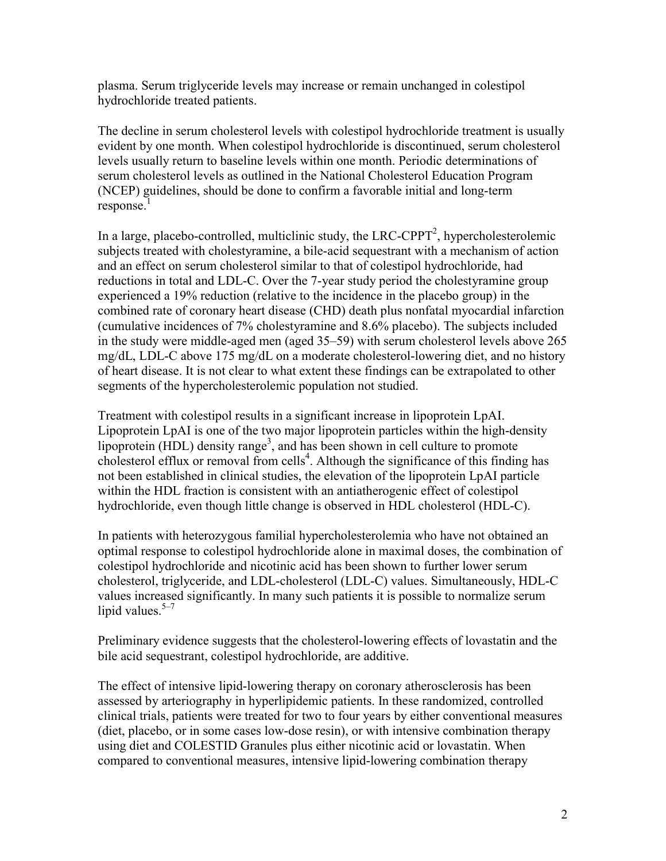plasma. Serum triglyceride levels may increase or remain unchanged in colestipol hydrochloride treated patients.

The decline in serum cholesterol levels with colestipol hydrochloride treatment is usually evident by one month. When colestipol hydrochloride is discontinued, serum cholesterol levels usually return to baseline levels within one month. Periodic determinations of serum cholesterol levels as outlined in the National Cholesterol Education Program (NCEP) guidelines, should be done to confirm a favorable initial and long-term response.<sup>1</sup>

In a large, placebo-controlled, multiclinic study, the LRC-CPPT<sup>2</sup>, hypercholesterolemic subjects treated with cholestyramine, a bile-acid sequestrant with a mechanism of action and an effect on serum cholesterol similar to that of colestipol hydrochloride, had reductions in total and LDL-C. Over the 7-year study period the cholestyramine group experienced a 19% reduction (relative to the incidence in the placebo group) in the combined rate of coronary heart disease (CHD) death plus nonfatal myocardial infarction (cumulative incidences of 7% cholestyramine and 8.6% placebo). The subjects included in the study were middle-aged men (aged 35–59) with serum cholesterol levels above 265 mg/dL, LDL-C above 175 mg/dL on a moderate cholesterol-lowering diet, and no history of heart disease. It is not clear to what extent these findings can be extrapolated to other segments of the hypercholesterolemic population not studied.

Treatment with colestipol results in a significant increase in lipoprotein LpAI. Lipoprotein LpAI is one of the two major lipoprotein particles within the high-density lipoprotein (HDL) density range<sup>3</sup>, and has been shown in cell culture to promote cholesterol efflux or removal from cells<sup>4</sup>. Although the significance of this finding has not been established in clinical studies, the elevation of the lipoprotein LpAI particle within the HDL fraction is consistent with an antiatherogenic effect of colestipol hydrochloride, even though little change is observed in HDL cholesterol (HDL-C).

In patients with heterozygous familial hypercholesterolemia who have not obtained an optimal response to colestipol hydrochloride alone in maximal doses, the combination of colestipol hydrochloride and nicotinic acid has been shown to further lower serum cholesterol, triglyceride, and LDL-cholesterol (LDL-C) values. Simultaneously, HDL-C values increased significantly. In many such patients it is possible to normalize serum lipid values. $5-7$ 

Preliminary evidence suggests that the cholesterol-lowering effects of lovastatin and the bile acid sequestrant, colestipol hydrochloride, are additive.

The effect of intensive lipid-lowering therapy on coronary atherosclerosis has been assessed by arteriography in hyperlipidemic patients. In these randomized, controlled clinical trials, patients were treated for two to four years by either conventional measures (diet, placebo, or in some cases low-dose resin), or with intensive combination therapy using diet and COLESTID Granules plus either nicotinic acid or lovastatin. When compared to conventional measures, intensive lipid-lowering combination therapy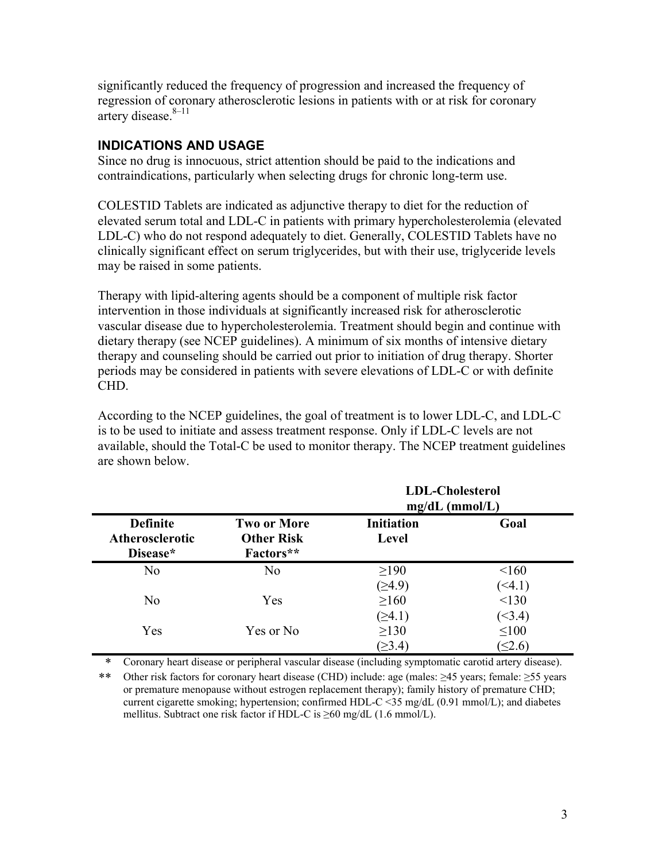significantly reduced the frequency of progression and increased the frequency of regression of coronary atherosclerotic lesions in patients with or at risk for coronary artery disease. $8-11$ 

### **INDICATIONS AND USAGE**

Since no drug is innocuous, strict attention should be paid to the indications and contraindications, particularly when selecting drugs for chronic long-term use.

COLESTID Tablets are indicated as adjunctive therapy to diet for the reduction of elevated serum total and LDL-C in patients with primary hypercholesterolemia (elevated LDL-C) who do not respond adequately to diet. Generally, COLESTID Tablets have no clinically significant effect on serum triglycerides, but with their use, triglyceride levels may be raised in some patients.

Therapy with lipid-altering agents should be a component of multiple risk factor intervention in those individuals at significantly increased risk for atherosclerotic vascular disease due to hypercholesterolemia. Treatment should begin and continue with dietary therapy (see NCEP guidelines). A minimum of six months of intensive dietary therapy and counseling should be carried out prior to initiation of drug therapy. Shorter periods may be considered in patients with severe elevations of LDL-C or with definite CHD.

According to the NCEP guidelines, the goal of treatment is to lower LDL-C, and LDL-C is to be used to initiate and assess treatment response. Only if LDL-C levels are not available, should the Total-C be used to monitor therapy. The NCEP treatment guidelines are shown below.

|                                                       | <b>Two or More</b><br><b>Other Risk</b><br>Factors** | <b>LDL-Cholesterol</b><br>$mg/dL$ (mmol/L) |                          |
|-------------------------------------------------------|------------------------------------------------------|--------------------------------------------|--------------------------|
| <b>Definite</b><br><b>Atherosclerotic</b><br>Disease* |                                                      | <b>Initiation</b><br>Level                 | Goal                     |
| N <sub>0</sub>                                        | N <sub>0</sub>                                       | $\geq$ 190<br>(24.9)                       | < 160<br>(4.1)           |
| N <sub>0</sub>                                        | Yes                                                  | $\geq 160$<br>(24.1)                       | < 130<br>(<3.4)          |
| Yes                                                   | Yes or No                                            | $\geq$ 130<br>$( \ge 3.4)$                 | $\leq 100$<br>$\leq$ 2.6 |

\* Coronary heart disease or peripheral vascular disease (including symptomatic carotid artery disease).

\*\* Other risk factors for coronary heart disease (CHD) include: age (males: ≥45 years; female: ≥55 years or premature menopause without estrogen replacement therapy); family history of premature CHD; current cigarette smoking; hypertension; confirmed HDL-C  $\leq$ 35 mg/dL (0.91 mmol/L); and diabetes mellitus. Subtract one risk factor if HDL-C is  $\geq 60$  mg/dL (1.6 mmol/L).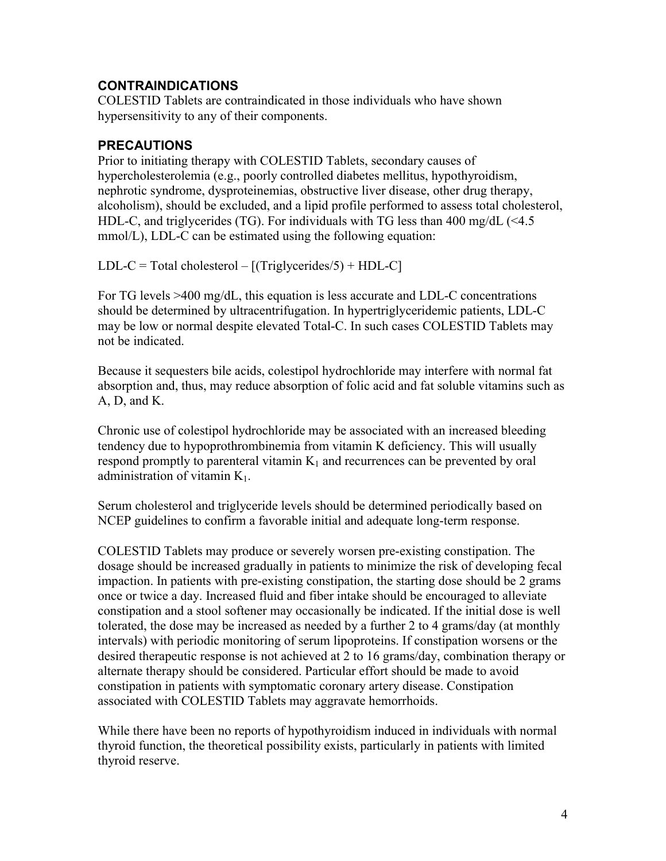#### **CONTRAINDICATIONS**

COLESTID Tablets are contraindicated in those individuals who have shown hypersensitivity to any of their components.

#### **PRECAUTIONS**

Prior to initiating therapy with COLESTID Tablets, secondary causes of hypercholesterolemia (e.g., poorly controlled diabetes mellitus, hypothyroidism, nephrotic syndrome, dysproteinemias, obstructive liver disease, other drug therapy, alcoholism), should be excluded, and a lipid profile performed to assess total cholesterol, HDL-C, and triglycerides (TG). For individuals with TG less than 400 mg/dL (<4.5 mmol/L), LDL-C can be estimated using the following equation:

LDL-C = Total cholesterol –  $[(Triglycerides/5) + HDL-C]$ 

For TG levels >400 mg/dL, this equation is less accurate and LDL-C concentrations should be determined by ultracentrifugation. In hypertriglyceridemic patients, LDL-C may be low or normal despite elevated Total-C. In such cases COLESTID Tablets may not be indicated.

Because it sequesters bile acids, colestipol hydrochloride may interfere with normal fat absorption and, thus, may reduce absorption of folic acid and fat soluble vitamins such as A, D, and K.

Chronic use of colestipol hydrochloride may be associated with an increased bleeding tendency due to hypoprothrombinemia from vitamin K deficiency. This will usually respond promptly to parenteral vitamin  $K_1$  and recurrences can be prevented by oral administration of vitamin  $K_1$ .

Serum cholesterol and triglyceride levels should be determined periodically based on NCEP guidelines to confirm a favorable initial and adequate long-term response.

COLESTID Tablets may produce or severely worsen pre-existing constipation. The dosage should be increased gradually in patients to minimize the risk of developing fecal impaction. In patients with pre-existing constipation, the starting dose should be 2 grams once or twice a day. Increased fluid and fiber intake should be encouraged to alleviate constipation and a stool softener may occasionally be indicated. If the initial dose is well tolerated, the dose may be increased as needed by a further 2 to 4 grams/day (at monthly intervals) with periodic monitoring of serum lipoproteins. If constipation worsens or the desired therapeutic response is not achieved at 2 to 16 grams/day, combination therapy or alternate therapy should be considered. Particular effort should be made to avoid constipation in patients with symptomatic coronary artery disease. Constipation associated with COLESTID Tablets may aggravate hemorrhoids.

While there have been no reports of hypothyroidism induced in individuals with normal thyroid function, the theoretical possibility exists, particularly in patients with limited thyroid reserve.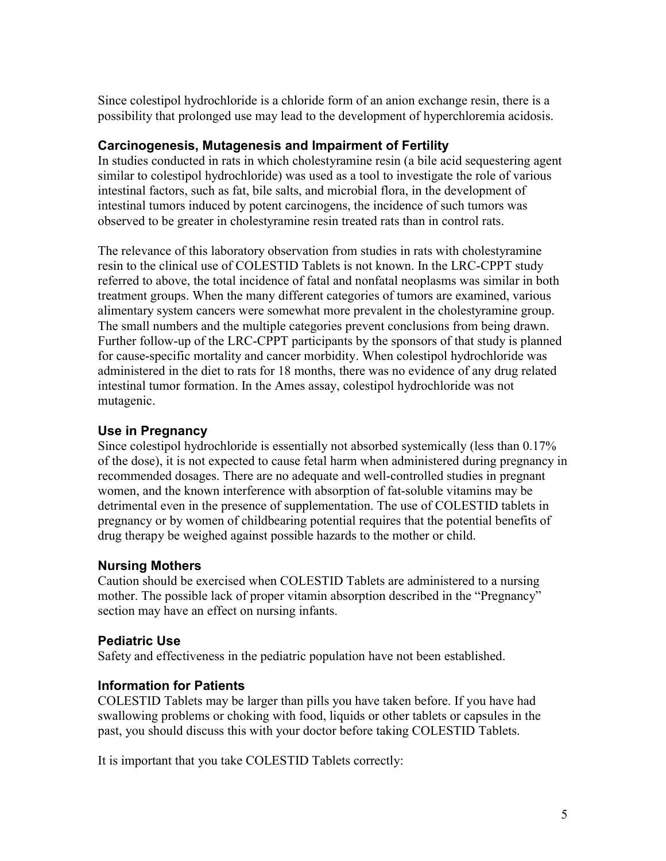Since colestipol hydrochloride is a chloride form of an anion exchange resin, there is a possibility that prolonged use may lead to the development of hyperchloremia acidosis.

#### **Carcinogenesis, Mutagenesis and Impairment of Fertility**

In studies conducted in rats in which cholestyramine resin (a bile acid sequestering agent similar to colestipol hydrochloride) was used as a tool to investigate the role of various intestinal factors, such as fat, bile salts, and microbial flora, in the development of intestinal tumors induced by potent carcinogens, the incidence of such tumors was observed to be greater in cholestyramine resin treated rats than in control rats.

The relevance of this laboratory observation from studies in rats with cholestyramine resin to the clinical use of COLESTID Tablets is not known. In the LRC-CPPT study referred to above, the total incidence of fatal and nonfatal neoplasms was similar in both treatment groups. When the many different categories of tumors are examined, various alimentary system cancers were somewhat more prevalent in the cholestyramine group. The small numbers and the multiple categories prevent conclusions from being drawn. Further follow-up of the LRC-CPPT participants by the sponsors of that study is planned for cause-specific mortality and cancer morbidity. When colestipol hydrochloride was administered in the diet to rats for 18 months, there was no evidence of any drug related intestinal tumor formation. In the Ames assay, colestipol hydrochloride was not mutagenic.

### **Use in Pregnancy**

Since colestipol hydrochloride is essentially not absorbed systemically (less than 0.17% of the dose), it is not expected to cause fetal harm when administered during pregnancy in recommended dosages. There are no adequate and well-controlled studies in pregnant women, and the known interference with absorption of fat-soluble vitamins may be detrimental even in the presence of supplementation. The use of COLESTID tablets in pregnancy or by women of childbearing potential requires that the potential benefits of drug therapy be weighed against possible hazards to the mother or child.

#### **Nursing Mothers**

Caution should be exercised when COLESTID Tablets are administered to a nursing mother. The possible lack of proper vitamin absorption described in the "Pregnancy" section may have an effect on nursing infants.

### **Pediatric Use**

Safety and effectiveness in the pediatric population have not been established.

### **Information for Patients**

COLESTID Tablets may be larger than pills you have taken before. If you have had swallowing problems or choking with food, liquids or other tablets or capsules in the past, you should discuss this with your doctor before taking COLESTID Tablets.

It is important that you take COLESTID Tablets correctly: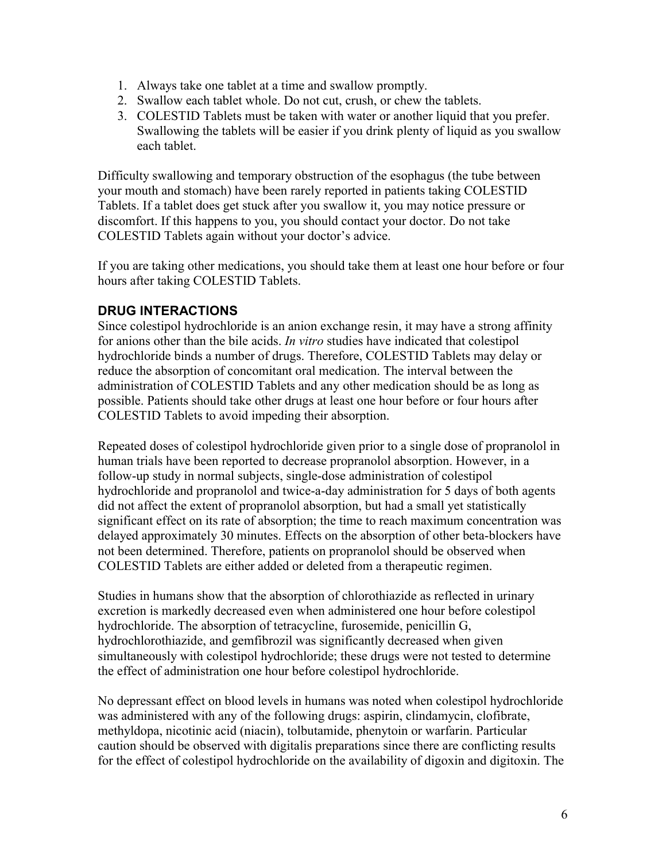- 1. Always take one tablet at a time and swallow promptly.
- 2. Swallow each tablet whole. Do not cut, crush, or chew the tablets.
- 3. COLESTID Tablets must be taken with water or another liquid that you prefer. Swallowing the tablets will be easier if you drink plenty of liquid as you swallow each tablet.

Difficulty swallowing and temporary obstruction of the esophagus (the tube between your mouth and stomach) have been rarely reported in patients taking COLESTID Tablets. If a tablet does get stuck after you swallow it, you may notice pressure or discomfort. If this happens to you, you should contact your doctor. Do not take COLESTID Tablets again without your doctor's advice.

If you are taking other medications, you should take them at least one hour before or four hours after taking COLESTID Tablets.

#### **DRUG INTERACTIONS**

Since colestipol hydrochloride is an anion exchange resin, it may have a strong affinity for anions other than the bile acids. *In vitro* studies have indicated that colestipol hydrochloride binds a number of drugs. Therefore, COLESTID Tablets may delay or reduce the absorption of concomitant oral medication. The interval between the administration of COLESTID Tablets and any other medication should be as long as possible. Patients should take other drugs at least one hour before or four hours after COLESTID Tablets to avoid impeding their absorption.

Repeated doses of colestipol hydrochloride given prior to a single dose of propranolol in human trials have been reported to decrease propranolol absorption. However, in a follow-up study in normal subjects, single-dose administration of colestipol hydrochloride and propranolol and twice-a-day administration for 5 days of both agents did not affect the extent of propranolol absorption, but had a small yet statistically significant effect on its rate of absorption; the time to reach maximum concentration was delayed approximately 30 minutes. Effects on the absorption of other beta-blockers have not been determined. Therefore, patients on propranolol should be observed when COLESTID Tablets are either added or deleted from a therapeutic regimen.

Studies in humans show that the absorption of chlorothiazide as reflected in urinary excretion is markedly decreased even when administered one hour before colestipol hydrochloride. The absorption of tetracycline, furosemide, penicillin G, hydrochlorothiazide, and gemfibrozil was significantly decreased when given simultaneously with colestipol hydrochloride; these drugs were not tested to determine the effect of administration one hour before colestipol hydrochloride.

No depressant effect on blood levels in humans was noted when colestipol hydrochloride was administered with any of the following drugs: aspirin, clindamycin, clofibrate, methyldopa, nicotinic acid (niacin), tolbutamide, phenytoin or warfarin. Particular caution should be observed with digitalis preparations since there are conflicting results for the effect of colestipol hydrochloride on the availability of digoxin and digitoxin. The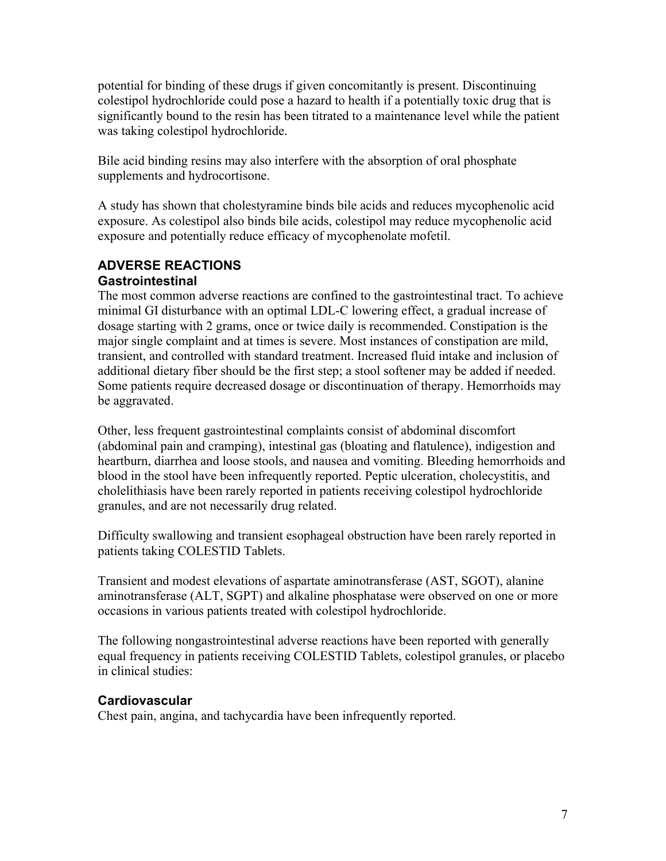potential for binding of these drugs if given concomitantly is present. Discontinuing colestipol hydrochloride could pose a hazard to health if a potentially toxic drug that is significantly bound to the resin has been titrated to a maintenance level while the patient was taking colestipol hydrochloride.

Bile acid binding resins may also interfere with the absorption of oral phosphate supplements and hydrocortisone.

A study has shown that cholestyramine binds bile acids and reduces mycophenolic acid exposure. As colestipol also binds bile acids, colestipol may reduce mycophenolic acid exposure and potentially reduce efficacy of mycophenolate mofetil.

### **ADVERSE REACTIONS Gastrointestinal**

The most common adverse reactions are confined to the gastrointestinal tract. To achieve minimal GI disturbance with an optimal LDL-C lowering effect, a gradual increase of dosage starting with 2 grams, once or twice daily is recommended. Constipation is the major single complaint and at times is severe. Most instances of constipation are mild, transient, and controlled with standard treatment. Increased fluid intake and inclusion of additional dietary fiber should be the first step; a stool softener may be added if needed. Some patients require decreased dosage or discontinuation of therapy. Hemorrhoids may be aggravated.

Other, less frequent gastrointestinal complaints consist of abdominal discomfort (abdominal pain and cramping), intestinal gas (bloating and flatulence), indigestion and heartburn, diarrhea and loose stools, and nausea and vomiting. Bleeding hemorrhoids and blood in the stool have been infrequently reported. Peptic ulceration, cholecystitis, and cholelithiasis have been rarely reported in patients receiving colestipol hydrochloride granules, and are not necessarily drug related.

Difficulty swallowing and transient esophageal obstruction have been rarely reported in patients taking COLESTID Tablets.

Transient and modest elevations of aspartate aminotransferase (AST, SGOT), alanine aminotransferase (ALT, SGPT) and alkaline phosphatase were observed on one or more occasions in various patients treated with colestipol hydrochloride.

The following nongastrointestinal adverse reactions have been reported with generally equal frequency in patients receiving COLESTID Tablets, colestipol granules, or placebo in clinical studies:

### **Cardiovascular**

Chest pain, angina, and tachycardia have been infrequently reported.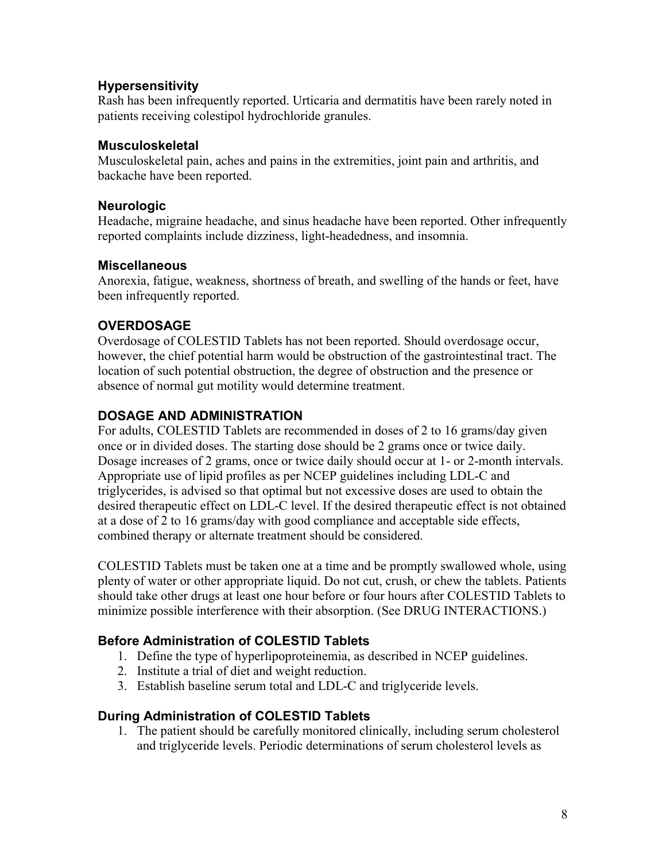#### **Hypersensitivity**

Rash has been infrequently reported. Urticaria and dermatitis have been rarely noted in patients receiving colestipol hydrochloride granules.

#### **Musculoskeletal**

Musculoskeletal pain, aches and pains in the extremities, joint pain and arthritis, and backache have been reported.

#### **Neurologic**

Headache, migraine headache, and sinus headache have been reported. Other infrequently reported complaints include dizziness, light-headedness, and insomnia.

#### **Miscellaneous**

Anorexia, fatigue, weakness, shortness of breath, and swelling of the hands or feet, have been infrequently reported.

### **OVERDOSAGE**

Overdosage of COLESTID Tablets has not been reported. Should overdosage occur, however, the chief potential harm would be obstruction of the gastrointestinal tract. The location of such potential obstruction, the degree of obstruction and the presence or absence of normal gut motility would determine treatment.

### **DOSAGE AND ADMINISTRATION**

For adults, COLESTID Tablets are recommended in doses of 2 to 16 grams/day given once or in divided doses. The starting dose should be 2 grams once or twice daily. Dosage increases of 2 grams, once or twice daily should occur at 1- or 2-month intervals. Appropriate use of lipid profiles as per NCEP guidelines including LDL-C and triglycerides, is advised so that optimal but not excessive doses are used to obtain the desired therapeutic effect on LDL-C level. If the desired therapeutic effect is not obtained at a dose of 2 to 16 grams/day with good compliance and acceptable side effects, combined therapy or alternate treatment should be considered.

COLESTID Tablets must be taken one at a time and be promptly swallowed whole, using plenty of water or other appropriate liquid. Do not cut, crush, or chew the tablets. Patients should take other drugs at least one hour before or four hours after COLESTID Tablets to minimize possible interference with their absorption. (See DRUG INTERACTIONS.)

# **Before Administration of COLESTID Tablets**

- 1. Define the type of hyperlipoproteinemia, as described in NCEP guidelines.
- 2. Institute a trial of diet and weight reduction.
- 3. Establish baseline serum total and LDL-C and triglyceride levels.

### **During Administration of COLESTID Tablets**

1. The patient should be carefully monitored clinically, including serum cholesterol and triglyceride levels. Periodic determinations of serum cholesterol levels as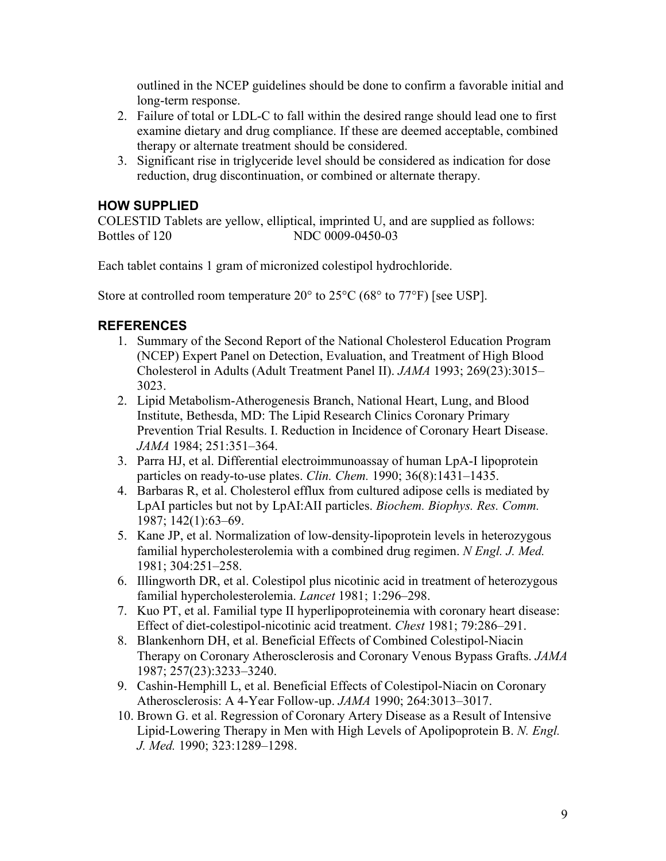outlined in the NCEP guidelines should be done to confirm a favorable initial and long-term response.

- 2. Failure of total or LDL-C to fall within the desired range should lead one to first examine dietary and drug compliance. If these are deemed acceptable, combined therapy or alternate treatment should be considered.
- 3. Significant rise in triglyceride level should be considered as indication for dose reduction, drug discontinuation, or combined or alternate therapy.

# **HOW SUPPLIED**

COLESTID Tablets are yellow, elliptical, imprinted U, and are supplied as follows: Bottles of 120 NDC 0009-0450-03

Each tablet contains 1 gram of micronized colestipol hydrochloride.

Store at controlled room temperature 20° to 25°C (68° to 77°F) [see USP].

# **REFERENCES**

- 1. Summary of the Second Report of the National Cholesterol Education Program (NCEP) Expert Panel on Detection, Evaluation, and Treatment of High Blood Cholesterol in Adults (Adult Treatment Panel II). *JAMA* 1993; 269(23):3015– 3023.
- 2. Lipid Metabolism-Atherogenesis Branch, National Heart, Lung, and Blood Institute, Bethesda, MD: The Lipid Research Clinics Coronary Primary Prevention Trial Results. I. Reduction in Incidence of Coronary Heart Disease. *JAMA* 1984; 251:351–364.
- 3. Parra HJ, et al. Differential electroimmunoassay of human LpA-I lipoprotein particles on ready-to-use plates. *Clin. Chem.* 1990; 36(8):1431–1435.
- 4. Barbaras R, et al. Cholesterol efflux from cultured adipose cells is mediated by LpAI particles but not by LpAI:AII particles. *Biochem. Biophys. Res. Comm.* 1987; 142(1):63–69.
- 5. Kane JP, et al. Normalization of low-density-lipoprotein levels in heterozygous familial hypercholesterolemia with a combined drug regimen. *N Engl. J. Med.* 1981; 304:251–258.
- 6. Illingworth DR, et al. Colestipol plus nicotinic acid in treatment of heterozygous familial hypercholesterolemia. *Lancet* 1981; 1:296–298.
- 7. Kuo PT, et al. Familial type II hyperlipoproteinemia with coronary heart disease: Effect of diet-colestipol-nicotinic acid treatment. *Chest* 1981; 79:286–291.
- 8. Blankenhorn DH, et al. Beneficial Effects of Combined Colestipol-Niacin Therapy on Coronary Atherosclerosis and Coronary Venous Bypass Grafts. *JAMA* 1987; 257(23):3233–3240.
- 9. Cashin-Hemphill L, et al. Beneficial Effects of Colestipol-Niacin on Coronary Atherosclerosis: A 4-Year Follow-up. *JAMA* 1990; 264:3013–3017.
- 10. Brown G. et al. Regression of Coronary Artery Disease as a Result of Intensive Lipid-Lowering Therapy in Men with High Levels of Apolipoprotein B. *N. Engl. J. Med.* 1990; 323:1289–1298.